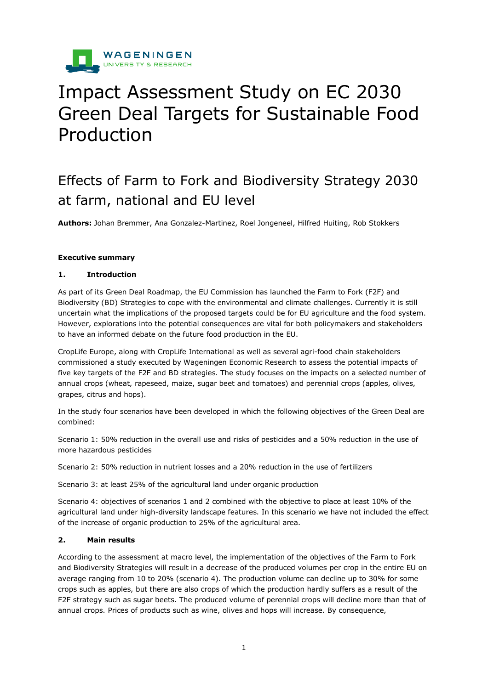

# Impact Assessment Study on EC 2030 Green Deal Targets for Sustainable Food Production

# Effects of Farm to Fork and Biodiversity Strategy 2030 at farm, national and EU level

**Authors:** Johan Bremmer, Ana Gonzalez-Martinez, Roel Jongeneel, Hilfred Huiting, Rob Stokkers

#### **Executive summary**

# **1. Introduction**

As part of its Green Deal Roadmap, the EU Commission has launched the Farm to Fork (F2F) and Biodiversity (BD) Strategies to cope with the environmental and climate challenges. Currently it is still uncertain what the implications of the proposed targets could be for EU agriculture and the food system. However, explorations into the potential consequences are vital for both policymakers and stakeholders to have an informed debate on the future food production in the EU.

CropLife Europe, along with CropLife International as well as several agri-food chain stakeholders commissioned a study executed by Wageningen Economic Research to assess the potential impacts of five key targets of the F2F and BD strategies. The study focuses on the impacts on a selected number of annual crops (wheat, rapeseed, maize, sugar beet and tomatoes) and perennial crops (apples, olives, grapes, citrus and hops).

In the study four scenarios have been developed in which the following objectives of the Green Deal are combined:

Scenario 1: 50% reduction in the overall use and risks of pesticides and a 50% reduction in the use of more hazardous pesticides

Scenario 2: 50% reduction in nutrient losses and a 20% reduction in the use of fertilizers

Scenario 3: at least 25% of the agricultural land under organic production

Scenario 4: objectives of scenarios 1 and 2 combined with the objective to place at least 10% of the agricultural land under high-diversity landscape features. In this scenario we have not included the effect of the increase of organic production to 25% of the agricultural area.

# **2. Main results**

According to the assessment at macro level, the implementation of the objectives of the Farm to Fork and Biodiversity Strategies will result in a decrease of the produced volumes per crop in the entire EU on average ranging from 10 to 20% (scenario 4). The production volume can decline up to 30% for some crops such as apples, but there are also crops of which the production hardly suffers as a result of the F2F strategy such as sugar beets. The produced volume of perennial crops will decline more than that of annual crops. Prices of products such as wine, olives and hops will increase. By consequence,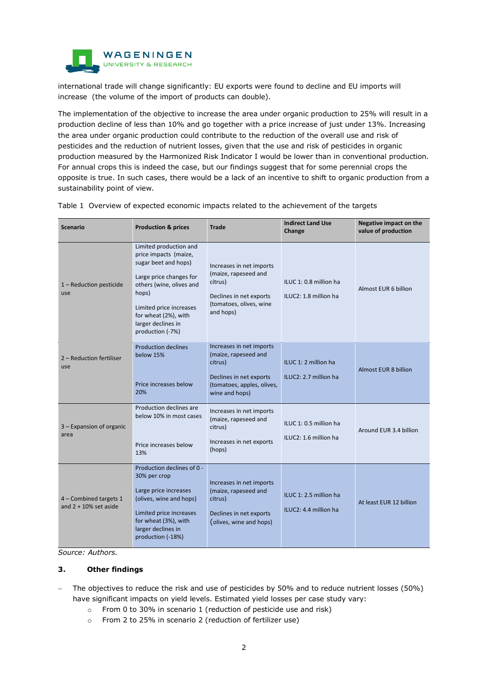

international trade will change significantly: EU exports were found to decline and EU imports will increase (the volume of the import of products can double).

The implementation of the objective to increase the area under organic production to 25% will result in a production decline of less than 10% and go together with a price increase of just under 13%. Increasing the area under organic production could contribute to the reduction of the overall use and risk of pesticides and the reduction of nutrient losses, given that the use and risk of pesticides in organic production measured by the Harmonized Risk Indicator I would be lower than in conventional production. For annual crops this is indeed the case, but our findings suggest that for some perennial crops the opposite is true. In such cases, there would be a lack of an incentive to shift to organic production from a sustainability point of view.

| <b>Scenario</b>                                    | <b>Production &amp; prices</b>                                                                                                                                                                                                       | <b>Trade</b>                                                                                                                           | <b>Indirect Land Use</b><br>Change              | Negative impact on the<br>value of production |
|----------------------------------------------------|--------------------------------------------------------------------------------------------------------------------------------------------------------------------------------------------------------------------------------------|----------------------------------------------------------------------------------------------------------------------------------------|-------------------------------------------------|-----------------------------------------------|
| 1 - Reduction pesticide<br>use                     | Limited production and<br>price impacts (maize,<br>sugar beet and hops)<br>Large price changes for<br>others (wine, olives and<br>hops)<br>Limited price increases<br>for wheat (2%), with<br>larger declines in<br>production (-7%) | Increases in net imports<br>(maize, rapeseed and<br>citrus)<br>Declines in net exports<br>(tomatoes, olives, wine<br>and hops)         | ILUC 1: 0.8 million ha<br>ILUC2: 1.8 million ha | Almost EUR 6 billion                          |
| 2 - Reduction fertiliser<br>use                    | <b>Production declines</b><br>below 15%<br>Price increases below<br>20%                                                                                                                                                              | Increases in net imports<br>(maize, rapeseed and<br>citrus)<br>Declines in net exports<br>(tomatoes, apples, olives,<br>wine and hops) | ILUC 1: 2 million ha<br>ILUC2: 2.7 million ha   | <b>Almost EUR 8 billion</b>                   |
| 3 - Expansion of organic<br>area                   | Production declines are<br>below 10% in most cases<br>Price increases below<br>13%                                                                                                                                                   | Increases in net imports<br>(maize, rapeseed and<br>citrus)<br>Increases in net exports<br>(hops)                                      | ILUC 1: 0.5 million ha<br>ILUC2: 1.6 million ha | Around EUR 3.4 billion                        |
| 4 - Combined targets 1<br>and $2 + 10\%$ set aside | Production declines of 0 -<br>30% per crop<br>Large price increases<br>(olives, wine and hops)<br>Limited price increases<br>for wheat (3%), with<br>larger declines in<br>production (-18%)                                         | Increases in net imports<br>(maize, rapeseed and<br>citrus)<br>Declines in net exports<br>(olives, wine and hops)                      | ILUC 1: 2.5 million ha<br>ILUC2: 4.4 million ha | At least EUR 12 billion                       |

Table 1 Overview of expected economic impacts related to the achievement of the targets

*Source: Authors.* 

# **3. Other findings**

- − The objectives to reduce the risk and use of pesticides by 50% and to reduce nutrient losses (50%) have significant impacts on yield levels. Estimated yield losses per case study vary:
	- o From 0 to 30% in scenario 1 (reduction of pesticide use and risk)
	- o From 2 to 25% in scenario 2 (reduction of fertilizer use)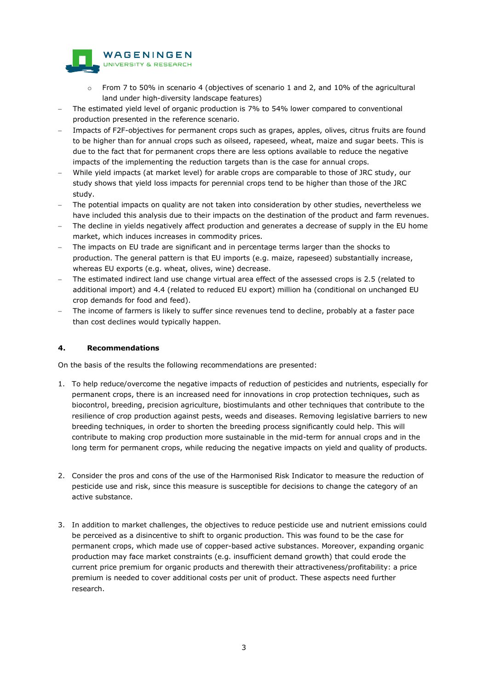

- $\circ$  From 7 to 50% in scenario 4 (objectives of scenario 1 and 2, and 10% of the agricultural land under high-diversity landscape features)
- The estimated yield level of organic production is 7% to 54% lower compared to conventional production presented in the reference scenario.
- Impacts of F2F-objectives for permanent crops such as grapes, apples, olives, citrus fruits are found to be higher than for annual crops such as oilseed, rapeseed, wheat, maize and sugar beets. This is due to the fact that for permanent crops there are less options available to reduce the negative impacts of the implementing the reduction targets than is the case for annual crops.
- While yield impacts (at market level) for arable crops are comparable to those of JRC study, our study shows that yield loss impacts for perennial crops tend to be higher than those of the JRC study.
- − The potential impacts on quality are not taken into consideration by other studies, nevertheless we have included this analysis due to their impacts on the destination of the product and farm revenues.
- The decline in yields negatively affect production and generates a decrease of supply in the EU home market, which induces increases in commodity prices.
- The impacts on EU trade are significant and in percentage terms larger than the shocks to production. The general pattern is that EU imports (e.g. maize, rapeseed) substantially increase, whereas EU exports (e.g. wheat, olives, wine) decrease.
- The estimated indirect land use change virtual area effect of the assessed crops is 2.5 (related to additional import) and 4.4 (related to reduced EU export) million ha (conditional on unchanged EU crop demands for food and feed).
- The income of farmers is likely to suffer since revenues tend to decline, probably at a faster pace than cost declines would typically happen.

### **4. Recommendations**

On the basis of the results the following recommendations are presented:

- 1. To help reduce/overcome the negative impacts of reduction of pesticides and nutrients, especially for permanent crops, there is an increased need for innovations in crop protection techniques, such as biocontrol, breeding, precision agriculture, biostimulants and other techniques that contribute to the resilience of crop production against pests, weeds and diseases. Removing legislative barriers to new breeding techniques, in order to shorten the breeding process significantly could help. This will contribute to making crop production more sustainable in the mid-term for annual crops and in the long term for permanent crops, while reducing the negative impacts on yield and quality of products.
- 2. Consider the pros and cons of the use of the Harmonised Risk Indicator to measure the reduction of pesticide use and risk, since this measure is susceptible for decisions to change the category of an active substance.
- 3. In addition to market challenges, the objectives to reduce pesticide use and nutrient emissions could be perceived as a disincentive to shift to organic production. This was found to be the case for permanent crops, which made use of copper-based active substances. Moreover, expanding organic production may face market constraints (e.g. insufficient demand growth) that could erode the current price premium for organic products and therewith their attractiveness/profitability: a price premium is needed to cover additional costs per unit of product. These aspects need further research.